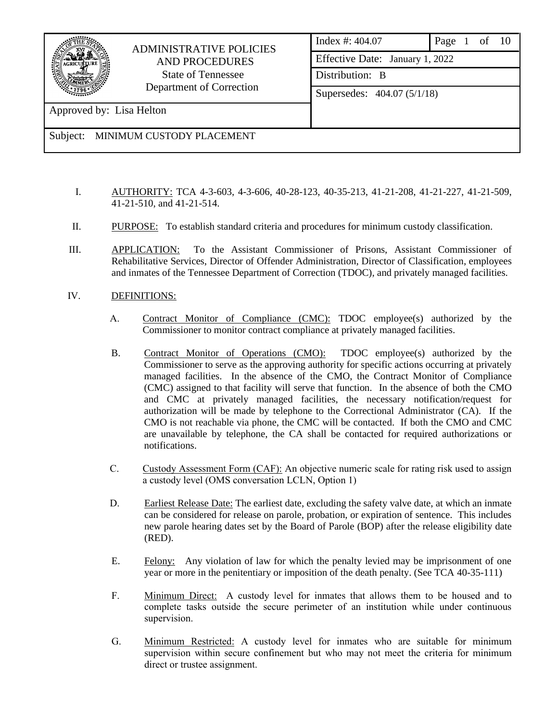

## ADMINISTRATIVE POLICIES AND PROCEDURES State of Tennessee Department of Correction

Approved by: Lisa Helton

- I. AUTHORITY: TCA 4-3-603, 4-3-606, 40-28-123, 40-35-213, 41-21-208, 41-21-227, 41-21-509, 41-21-510, and 41-21-514.
- II. PURPOSE: To establish standard criteria and procedures for minimum custody classification.
- III. APPLICATION: To the Assistant Commissioner of Prisons, Assistant Commissioner of Rehabilitative Services, Director of Offender Administration, Director of Classification, employees and inmates of the Tennessee Department of Correction (TDOC), and privately managed facilities.
- IV. DEFINITIONS:
	- A. Contract Monitor of Compliance (CMC): TDOC employee(s) authorized by the Commissioner to monitor contract compliance at privately managed facilities.
	- B. Contract Monitor of Operations (CMO): TDOC employee(s) authorized by the Commissioner to serve as the approving authority for specific actions occurring at privately managed facilities. In the absence of the CMO, the Contract Monitor of Compliance (CMC) assigned to that facility will serve that function. In the absence of both the CMO and CMC at privately managed facilities, the necessary notification/request for authorization will be made by telephone to the Correctional Administrator (CA). If the CMO is not reachable via phone, the CMC will be contacted. If both the CMO and CMC are unavailable by telephone, the CA shall be contacted for required authorizations or notifications.
	- C. Custody Assessment Form (CAF): An objective numeric scale for rating risk used to assign a custody level (OMS conversation LCLN, Option 1)
	- D. Earliest Release Date: The earliest date, excluding the safety valve date, at which an inmate can be considered for release on parole, probation, or expiration of sentence. This includes new parole hearing dates set by the Board of Parole (BOP) after the release eligibility date (RED).
	- E. Felony: Any violation of law for which the penalty levied may be imprisonment of one year or more in the penitentiary or imposition of the death penalty. (See TCA 40-35-111)
	- F. Minimum Direct: A custody level for inmates that allows them to be housed and to complete tasks outside the secure perimeter of an institution while under continuous supervision.
	- G. Minimum Restricted: A custody level for inmates who are suitable for minimum supervision within secure confinement but who may not meet the criteria for minimum direct or trustee assignment.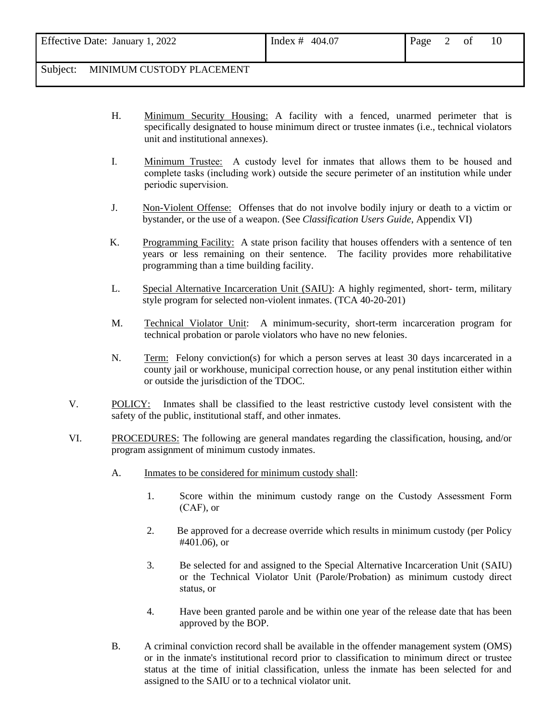| Effective Date: January 1, 2022 | Index # 404.07 | Page 2 of |  |  |
|---------------------------------|----------------|-----------|--|--|
|                                 |                |           |  |  |

- H. Minimum Security Housing: A facility with a fenced, unarmed perimeter that is specifically designated to house minimum direct or trustee inmates (i.e., technical violators unit and institutional annexes).
- I. Minimum Trustee: A custody level for inmates that allows them to be housed and complete tasks (including work) outside the secure perimeter of an institution while under periodic supervision.
- J. Non-Violent Offense: Offenses that do not involve bodily injury or death to a victim or bystander, or the use of a weapon. (See *Classification Users Guide*, Appendix VI)
- K. Programming Facility: A state prison facility that houses offenders with a sentence of ten years or less remaining on their sentence. The facility provides more rehabilitative programming than a time building facility.
- L. Special Alternative Incarceration Unit (SAIU): A highly regimented, short- term, military style program for selected non-violent inmates. (TCA 40-20-201)
- M. Technical Violator Unit: A minimum-security, short-term incarceration program for technical probation or parole violators who have no new felonies.
- N. Term: Felony conviction(s) for which a person serves at least 30 days incarcerated in a county jail or workhouse, municipal correction house, or any penal institution either within or outside the jurisdiction of the TDOC.
- V. POLICY: Inmates shall be classified to the least restrictive custody level consistent with the safety of the public, institutional staff, and other inmates.
- VI. PROCEDURES: The following are general mandates regarding the classification, housing, and/or program assignment of minimum custody inmates.
	- A. Inmates to be considered for minimum custody shall:
		- 1. Score within the minimum custody range on the Custody Assessment Form (CAF), or
		- 2. Be approved for a decrease override which results in minimum custody (per Policy #401.06), or
		- 3. Be selected for and assigned to the Special Alternative Incarceration Unit (SAIU) or the Technical Violator Unit (Parole/Probation) as minimum custody direct status, or
		- 4. Have been granted parole and be within one year of the release date that has been approved by the BOP.
	- B. A criminal conviction record shall be available in the offender management system (OMS) or in the inmate's institutional record prior to classification to minimum direct or trustee status at the time of initial classification, unless the inmate has been selected for and assigned to the SAIU or to a technical violator unit.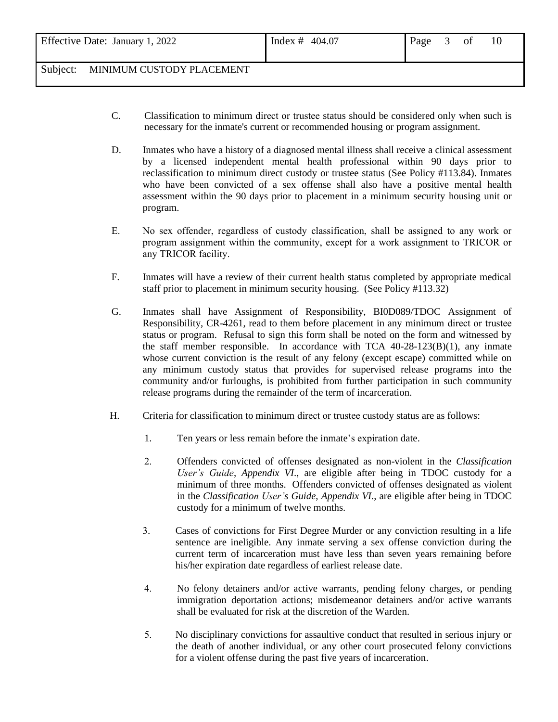- C. Classification to minimum direct or trustee status should be considered only when such is necessary for the inmate's current or recommended housing or program assignment.
- D. Inmates who have a history of a diagnosed mental illness shall receive a clinical assessment by a licensed independent mental health professional within 90 days prior to reclassification to minimum direct custody or trustee status (See Policy #113.84). Inmates who have been convicted of a sex offense shall also have a positive mental health assessment within the 90 days prior to placement in a minimum security housing unit or program.
- E. No sex offender, regardless of custody classification, shall be assigned to any work or program assignment within the community, except for a work assignment to TRICOR or any TRICOR facility.
- F. Inmates will have a review of their current health status completed by appropriate medical staff prior to placement in minimum security housing. (See Policy #113.32)
- G. Inmates shall have Assignment of Responsibility, BI0D089/TDOC Assignment of Responsibility, CR-4261, read to them before placement in any minimum direct or trustee status or program. Refusal to sign this form shall be noted on the form and witnessed by the staff member responsible. In accordance with TCA  $40-28-123(B)(1)$ , any inmate whose current conviction is the result of any felony (except escape) committed while on any minimum custody status that provides for supervised release programs into the community and/or furloughs, is prohibited from further participation in such community release programs during the remainder of the term of incarceration.
- H. Criteria for classification to minimum direct or trustee custody status are as follows:
	- 1. Ten years or less remain before the inmate's expiration date.
	- 2. Offenders convicted of offenses designated as non-violent in the *Classification User's Guide*, *Appendix VI*., are eligible after being in TDOC custody for a minimum of three months. Offenders convicted of offenses designated as violent in the *Classification User's Guide*, *Appendix VI*., are eligible after being in TDOC custody for a minimum of twelve months.
	- 3. Cases of convictions for First Degree Murder or any conviction resulting in a life sentence are ineligible. Any inmate serving a sex offense conviction during the current term of incarceration must have less than seven years remaining before his/her expiration date regardless of earliest release date.
	- 4. No felony detainers and/or active warrants, pending felony charges, or pending immigration deportation actions; misdemeanor detainers and/or active warrants shall be evaluated for risk at the discretion of the Warden.
	- 5. No disciplinary convictions for assaultive conduct that resulted in serious injury or the death of another individual, or any other court prosecuted felony convictions for a violent offense during the past five years of incarceration.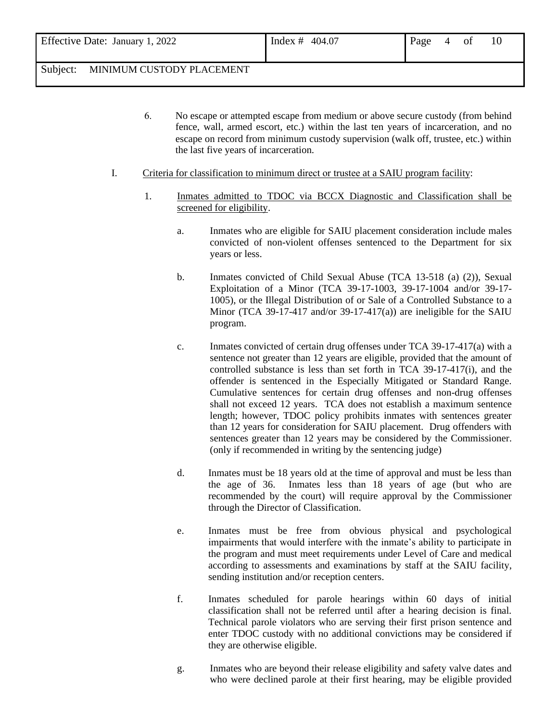- 6. No escape or attempted escape from medium or above secure custody (from behind fence, wall, armed escort, etc.) within the last ten years of incarceration, and no escape on record from minimum custody supervision (walk off, trustee, etc.) within the last five years of incarceration.
- I. Criteria for classification to minimum direct or trustee at a SAIU program facility:
	- 1. Inmates admitted to TDOC via BCCX Diagnostic and Classification shall be screened for eligibility.
		- a. Inmates who are eligible for SAIU placement consideration include males convicted of non-violent offenses sentenced to the Department for six years or less.
		- b. Inmates convicted of Child Sexual Abuse (TCA 13-518 (a) (2)), Sexual Exploitation of a Minor (TCA 39-17-1003, 39-17-1004 and/or 39-17- 1005), or the Illegal Distribution of or Sale of a Controlled Substance to a Minor (TCA 39-17-417 and/or 39-17-417(a)) are ineligible for the SAIU program.
		- c. Inmates convicted of certain drug offenses under TCA 39-17-417(a) with a sentence not greater than 12 years are eligible, provided that the amount of controlled substance is less than set forth in TCA 39-17-417(i), and the offender is sentenced in the Especially Mitigated or Standard Range. Cumulative sentences for certain drug offenses and non-drug offenses shall not exceed 12 years. TCA does not establish a maximum sentence length; however, TDOC policy prohibits inmates with sentences greater than 12 years for consideration for SAIU placement. Drug offenders with sentences greater than 12 years may be considered by the Commissioner. (only if recommended in writing by the sentencing judge)
		- d. Inmates must be 18 years old at the time of approval and must be less than the age of 36. Inmates less than 18 years of age (but who are recommended by the court) will require approval by the Commissioner through the Director of Classification.
		- e. Inmates must be free from obvious physical and psychological impairments that would interfere with the inmate's ability to participate in the program and must meet requirements under Level of Care and medical according to assessments and examinations by staff at the SAIU facility, sending institution and/or reception centers.
		- f. Inmates scheduled for parole hearings within 60 days of initial classification shall not be referred until after a hearing decision is final. Technical parole violators who are serving their first prison sentence and enter TDOC custody with no additional convictions may be considered if they are otherwise eligible.
		- g. Inmates who are beyond their release eligibility and safety valve dates and who were declined parole at their first hearing, may be eligible provided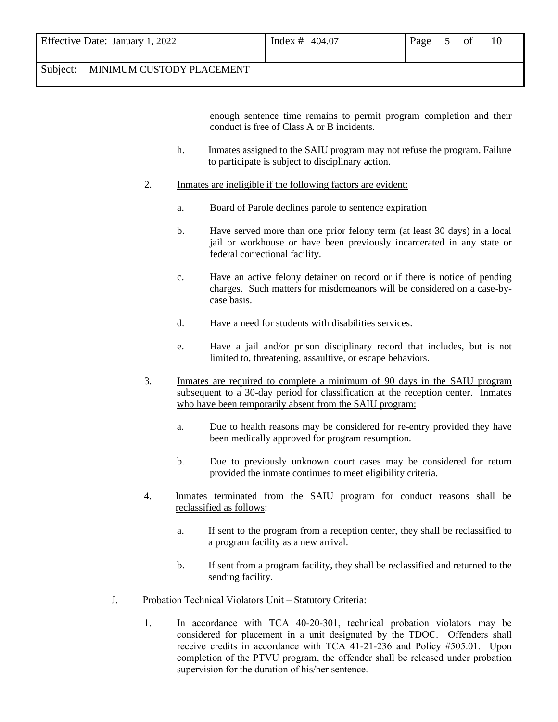| Effective Date: January 1, 2022 | Index # 404.07<br>Page 5 of |
|---------------------------------|-----------------------------|
|---------------------------------|-----------------------------|

enough sentence time remains to permit program completion and their conduct is free of Class A or B incidents.

- h. Inmates assigned to the SAIU program may not refuse the program. Failure to participate is subject to disciplinary action.
- 2. Inmates are ineligible if the following factors are evident:
	- a. Board of Parole declines parole to sentence expiration
	- b. Have served more than one prior felony term (at least 30 days) in a local jail or workhouse or have been previously incarcerated in any state or federal correctional facility.
	- c. Have an active felony detainer on record or if there is notice of pending charges. Such matters for misdemeanors will be considered on a case-bycase basis.
	- d. Have a need for students with disabilities services.
	- e. Have a jail and/or prison disciplinary record that includes, but is not limited to, threatening, assaultive, or escape behaviors.
- 3. Inmates are required to complete a minimum of 90 days in the SAIU program subsequent to a 30-day period for classification at the reception center. Inmates who have been temporarily absent from the SAIU program:
	- a. Due to health reasons may be considered for re-entry provided they have been medically approved for program resumption.
	- b. Due to previously unknown court cases may be considered for return provided the inmate continues to meet eligibility criteria.
- 4. Inmates terminated from the SAIU program for conduct reasons shall be reclassified as follows:
	- a. If sent to the program from a reception center, they shall be reclassified to a program facility as a new arrival.
	- b. If sent from a program facility, they shall be reclassified and returned to the sending facility.
- J. Probation Technical Violators Unit Statutory Criteria:
	- 1. In accordance with TCA 40-20-301, technical probation violators may be considered for placement in a unit designated by the TDOC. Offenders shall receive credits in accordance with TCA 41-21-236 and Policy #505.01. Upon completion of the PTVU program, the offender shall be released under probation supervision for the duration of his/her sentence.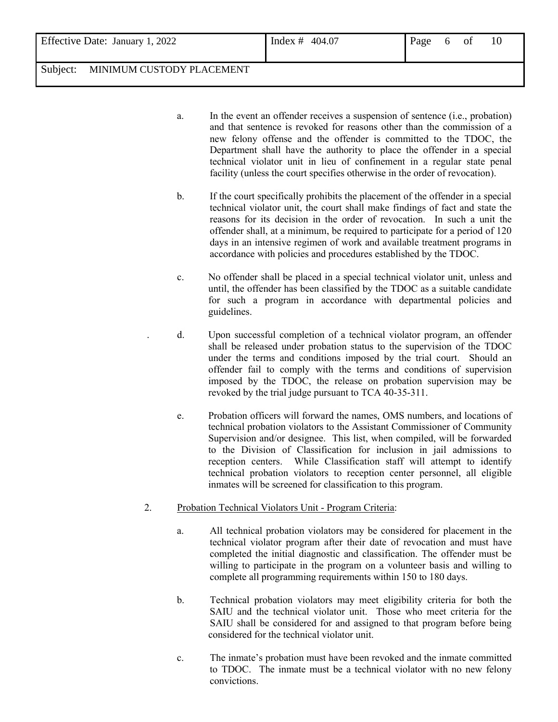- a. In the event an offender receives a suspension of sentence (i.e., probation) and that sentence is revoked for reasons other than the commission of a new felony offense and the offender is committed to the TDOC, the Department shall have the authority to place the offender in a special technical violator unit in lieu of confinement in a regular state penal facility (unless the court specifies otherwise in the order of revocation).
- b. If the court specifically prohibits the placement of the offender in a special technical violator unit, the court shall make findings of fact and state the reasons for its decision in the order of revocation. In such a unit the offender shall, at a minimum, be required to participate for a period of 120 days in an intensive regimen of work and available treatment programs in accordance with policies and procedures established by the TDOC.
- c. No offender shall be placed in a special technical violator unit, unless and until, the offender has been classified by the TDOC as a suitable candidate for such a program in accordance with departmental policies and guidelines.
- . d. Upon successful completion of a technical violator program, an offender shall be released under probation status to the supervision of the TDOC under the terms and conditions imposed by the trial court. Should an offender fail to comply with the terms and conditions of supervision imposed by the TDOC, the release on probation supervision may be revoked by the trial judge pursuant to TCA 40-35-311.
- e. Probation officers will forward the names, OMS numbers, and locations of technical probation violators to the Assistant Commissioner of Community Supervision and/or designee. This list, when compiled, will be forwarded to the Division of Classification for inclusion in jail admissions to reception centers. While Classification staff will attempt to identify technical probation violators to reception center personnel, all eligible inmates will be screened for classification to this program.
- 2. Probation Technical Violators Unit Program Criteria:
	- a. All technical probation violators may be considered for placement in the technical violator program after their date of revocation and must have completed the initial diagnostic and classification. The offender must be willing to participate in the program on a volunteer basis and willing to complete all programming requirements within 150 to 180 days.
	- b. Technical probation violators may meet eligibility criteria for both the SAIU and the technical violator unit. Those who meet criteria for the SAIU shall be considered for and assigned to that program before being considered for the technical violator unit.
	- c. The inmate's probation must have been revoked and the inmate committed to TDOC. The inmate must be a technical violator with no new felony convictions.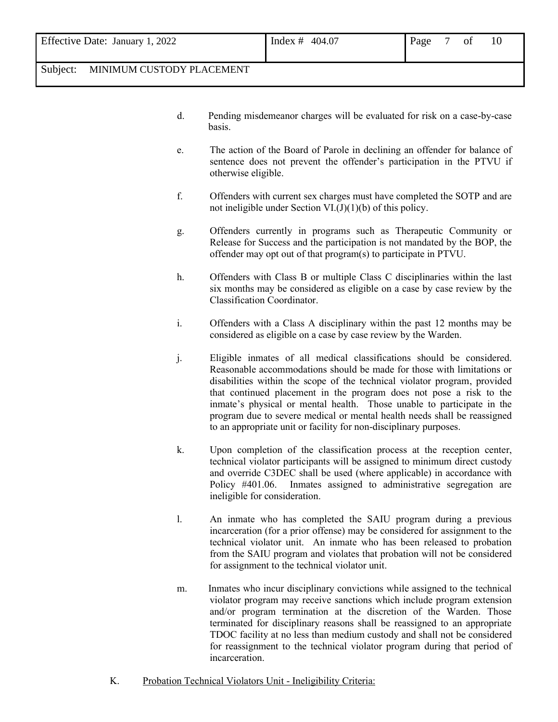- d. Pending misdemeanor charges will be evaluated for risk on a case-by-case basis.
- e. The action of the Board of Parole in declining an offender for balance of sentence does not prevent the offender's participation in the PTVU if otherwise eligible.
- f. Offenders with current sex charges must have completed the SOTP and are not ineligible under Section  $VI.(J)(1)(b)$  of this policy.
- g. Offenders currently in programs such as Therapeutic Community or Release for Success and the participation is not mandated by the BOP, the offender may opt out of that program(s) to participate in PTVU.
- h. Offenders with Class B or multiple Class C disciplinaries within the last six months may be considered as eligible on a case by case review by the Classification Coordinator.
- i. Offenders with a Class A disciplinary within the past 12 months may be considered as eligible on a case by case review by the Warden.
- j. Eligible inmates of all medical classifications should be considered. Reasonable accommodations should be made for those with limitations or disabilities within the scope of the technical violator program, provided that continued placement in the program does not pose a risk to the inmate's physical or mental health. Those unable to participate in the program due to severe medical or mental health needs shall be reassigned to an appropriate unit or facility for non-disciplinary purposes.
- k. Upon completion of the classification process at the reception center, technical violator participants will be assigned to minimum direct custody and override C3DEC shall be used (where applicable) in accordance with Policy #401.06. Inmates assigned to administrative segregation are ineligible for consideration.
- l. An inmate who has completed the SAIU program during a previous incarceration (for a prior offense) may be considered for assignment to the technical violator unit. An inmate who has been released to probation from the SAIU program and violates that probation will not be considered for assignment to the technical violator unit.
- m. Inmates who incur disciplinary convictions while assigned to the technical violator program may receive sanctions which include program extension and/or program termination at the discretion of the Warden. Those terminated for disciplinary reasons shall be reassigned to an appropriate TDOC facility at no less than medium custody and shall not be considered for reassignment to the technical violator program during that period of incarceration.
- K. Probation Technical Violators Unit Ineligibility Criteria: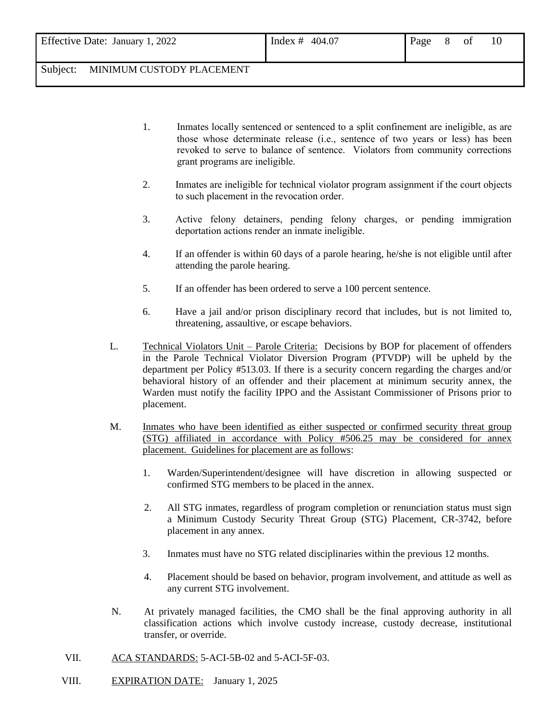|  | Effective Date: January 1, 2022 |  |
|--|---------------------------------|--|
|--|---------------------------------|--|

- 1. Inmates locally sentenced or sentenced to a split confinement are ineligible, as are those whose determinate release (i.e., sentence of two years or less) has been revoked to serve to balance of sentence. Violators from community corrections grant programs are ineligible.
- 2. Inmates are ineligible for technical violator program assignment if the court objects to such placement in the revocation order.
- 3. Active felony detainers, pending felony charges, or pending immigration deportation actions render an inmate ineligible.
- 4. If an offender is within 60 days of a parole hearing, he/she is not eligible until after attending the parole hearing.
- 5. If an offender has been ordered to serve a 100 percent sentence.
- 6. Have a jail and/or prison disciplinary record that includes, but is not limited to, threatening, assaultive, or escape behaviors.
- L. Technical Violators Unit Parole Criteria: Decisions by BOP for placement of offenders in the Parole Technical Violator Diversion Program (PTVDP) will be upheld by the department per Policy #513.03. If there is a security concern regarding the charges and/or behavioral history of an offender and their placement at minimum security annex, the Warden must notify the facility IPPO and the Assistant Commissioner of Prisons prior to placement.
- M. Inmates who have been identified as either suspected or confirmed security threat group (STG) affiliated in accordance with Policy #506.25 may be considered for annex placement. Guidelines for placement are as follows:
	- 1. Warden/Superintendent/designee will have discretion in allowing suspected or confirmed STG members to be placed in the annex.
	- 2. All STG inmates, regardless of program completion or renunciation status must sign a Minimum Custody Security Threat Group (STG) Placement, CR-3742, before placement in any annex.
	- 3. Inmates must have no STG related disciplinaries within the previous 12 months.
	- 4. Placement should be based on behavior, program involvement, and attitude as well as any current STG involvement.
- N. At privately managed facilities, the CMO shall be the final approving authority in all classification actions which involve custody increase, custody decrease, institutional transfer, or override.
- VII. ACA STANDARDS: 5-ACI-5B-02 and 5-ACI-5F-03.
- VIII. EXPIRATION DATE: January 1, 2025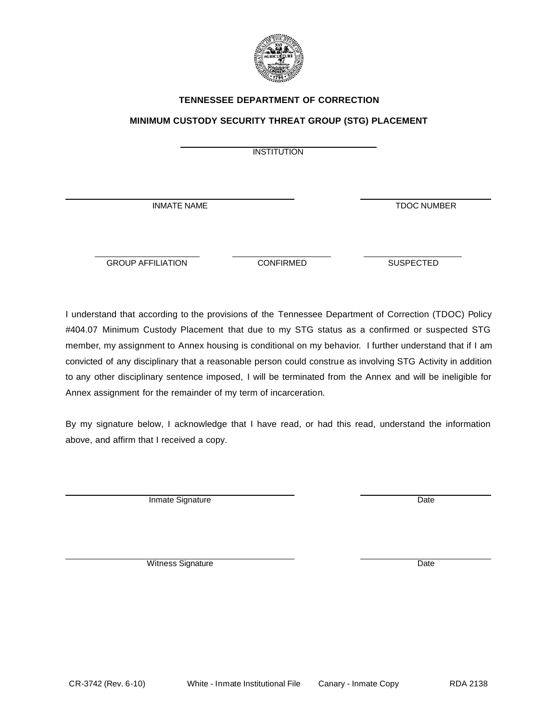

#### **TENNESSEE DEPARTMENT OF CORRECTION**

#### **MINIMUM CUSTODY SECURITY THREAT GROUP (STG) PLACEMENT**

**INSTITUTION** 

INMATE NAME

GROUP AFFILIATION CONFIRMED SUSPECTED

I understand that according to the provisions of the Tennessee Department of Correction (TDOC) Policy #404.07 Minimum Custody Placement that due to my STG status as a confirmed or suspected STG member, my assignment to Annex housing is conditional on my behavior. I further understand that if I am convicted of any disciplinary that a reasonable person could construe as involving STG Activity in addition to any other disciplinary sentence imposed, I will be terminated from the Annex and will be ineligible for Annex assignment for the remainder of my term of incarceration.

By my signature below, I acknowledge that I have read, or had this read, understand the information above, and affirm that I received a copy.

Inmate Signature Date

Witness Signature Date